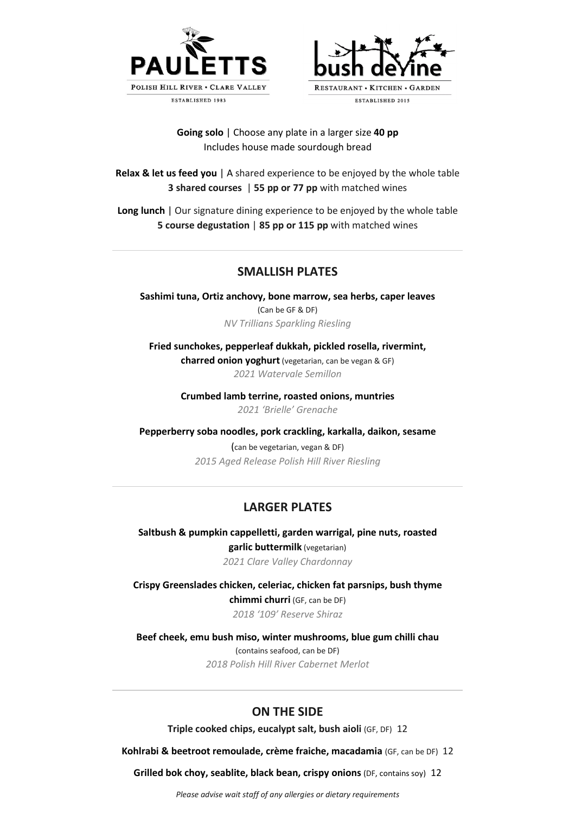



#### **Going solo** | Choose any plate in a larger size **40 pp** Includes house made sourdough bread

**Relax & let us feed you** | A shared experience to be enjoyed by the whole table **3 shared courses** | **55 pp or 77 pp** with matched wines

**Long lunch** | Our signature dining experience to be enjoyed by the whole table **5 course degustation** | **85 pp or 115 pp** with matched wines

# **SMALLISH PLATES**

**Sashimi tuna, Ortiz anchovy, bone marrow, sea herbs, caper leaves**  (Can be GF & DF) *NV Trillians Sparkling Riesling*

**Fried sunchokes, pepperleaf dukkah, pickled rosella, rivermint, charred onion yoghurt** (vegetarian, can be vegan & GF) *2021 Watervale Semillon*

> **Crumbed lamb terrine, roasted onions, muntries** *2021 'Brielle' Grenache*

**Pepperberry soba noodles, pork crackling, karkalla, daikon, sesame** 

(can be vegetarian, vegan & DF) *2015 Aged Release Polish Hill River Riesling*

### **LARGER PLATES**

**Saltbush & pumpkin cappelletti, garden warrigal, pine nuts, roasted garlic buttermilk** (vegetarian) *2021 Clare Valley Chardonnay*

**Crispy Greenslades chicken, celeriac, chicken fat parsnips, bush thyme chimmi churri** (GF, can be DF) *2018 '109' Reserve Shiraz*

**Beef cheek, emu bush miso, winter mushrooms, blue gum chilli chau**  (contains seafood, can be DF) *2018 Polish Hill River Cabernet Merlot*

### **ON THE SIDE**

**Triple cooked chips, eucalypt salt, bush aioli** (GF, DF) 12

**Kohlrabi & beetroot remoulade, crème fraiche, macadamia** (GF, can be DF) 12

**Grilled bok choy, seablite, black bean, crispy onions** (DF, contains soy) 12

*Please advise wait staff of any allergies or dietary requirements*